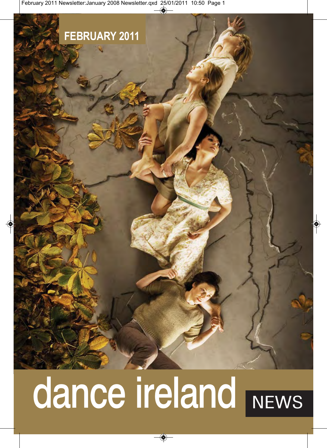## **FEBRUARY 2011**

# dance ireland NEWS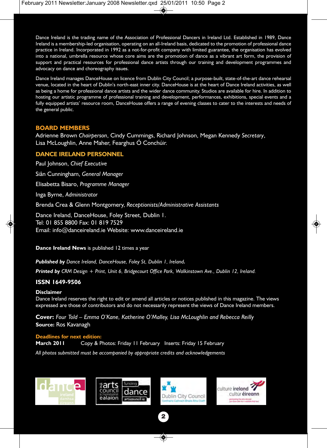Dance Ireland is the trading name of the Association of Professional Dancers in Ireland Ltd. Established in 1989, Dance Ireland is a membership-led organisation, operating on an all-Ireland basis, dedicated to the promotion of professional dance practice in Ireland. Incorporated in 1992 as a not-for-profit company with limited guarantee, the organisation has evolved into a national, umbrella resource whose core aims are the promotion of dance as a vibrant art form, the provision of support and practical resources for professional dance artists through our training and development programmes and advocacy on dance and choreography issues.

Dance Ireland manages DanceHouse on licence from Dublin City Council; a purpose-built, state-of-the-art dance rehearsal venue, located in the heart of Dublin's north-east inner city. DanceHouse is at the heart of Dance Ireland activities, as well as being a home for professional dance artists and the wider dance community. Studios are available for hire. In addition to hosting our artistic programme of professional training and development, performances, exhibitions, special events and a fully equipped artists' resource room, DanceHouse offers a range of evening classes to cater to the interests and needs of the general public.

#### **BOARD MEMBERS**

Adrienne Brown *Chairperson*, Cindy Cummings, Richard Johnson, Megan Kennedy *Secretary*, Lisa McLoughlin, Anne Maher, Fearghus Ó Conchúir.

#### **DANCE IRELAND PERSONNEL**

Paul Johnson, *Chief Executive*

Siân Cunningham, *General Manager* 

Elisabetta Bisaro, *Programme Manager* 

Inga Byrne, *Administrator* 

Brenda Crea & Glenn Montgomery, *Receptionists/Administrative Assistants* 

Dance Ireland, DanceHouse, Foley Street, Dublin 1. Tel: 01 855 8800 Fax: 01 819 7529 Email: info@danceireland.ie Website: www.danceireland.ie

**Dance Ireland News** is published 12 times a year

*Published by Dance Ireland, DanceHouse, Foley St, Dublin 1, Ireland.*

*Printed by CRM Design + Print, Unit 6, Bridgecourt Office Park, Walkinstown Ave., Dublin 12, Ireland.*

#### **ISSN 1649-9506**

#### **Disclaimer**

Dance Ireland reserves the right to edit or amend all articles or notices published in this magazine. The views expressed are those of contributors and do not necessarily represent the views of Dance Ireland members.

**Cover:** *Four Told – Emma O'Kane, Katherine O'Malley, Lisa McLoughlin and Rebecca Reilly* **Source:** Ros Kavanagh

#### **Deadlines for next edition:**

**March 2011** Copy & Photos: Friday 11 February Inserts: Friday 15 February *All photos submitted must be accompanied by appropriate credits and acknowledgements*







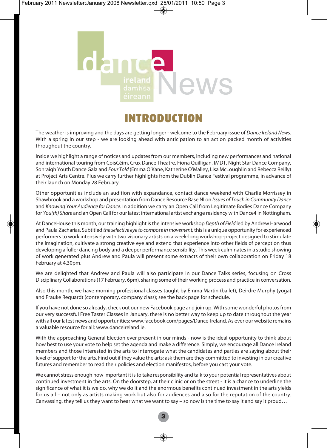

### INTRODUCTION

The weather is improving and the days are getting longer - welcome to the February issue of *Dance Ireland News*. With a spring in our step - we are looking ahead with anticipation to an action packed month of activities throughout the country.

Inside we highlight a range of notices and updates from our members, including new performances and national and international touring from CoisCéim, Crux Dance Theatre, Fiona Quilligan, IMDT, Night Star Dance Company, Sonraigh Youth Dance Gala and *Four Told* (Emma O'Kane, Katherine O'Malley, Lisa McLoughlin and Rebecca Reilly) at Project Arts Centre. Plus we carry further highlights from the Dublin Dance Festival programme, in advance of their launch on Monday 28 February.

Other opportunities include an audition with expandance, contact dance weekend with Charlie Morrissey in Shawbrook and a workshop and presentation from Dance Resource Base NI on *Issues of Touch in Community Dance* and *Knowing Your Audience for Dance.* In addition we carry an Open Call from Legitimate Bodies Dance Company for *You(th) Share* and an Open Call for our latest international artist exchange residency with Dance4 in Nottingham.

At DanceHouse this month, our training highlight is the intensive workshop *Depth of Field* led by Andrew Harwood and Paula Zacharias. Subtitled *the selective eye to compose in movement,* this is a unique opportunity for experienced performers to work intensively with two visionary artists on a week-long workshop-project designed to stimulate the imagination, cultivate a strong creative eye and extend that experience into other fields of perception thus developing a fuller dancing body and a deeper performance sensibility. This week culminates in a studio showing of work generated plus Andrew and Paula will present some extracts of their own collaboration on Friday 18 February at 4.30pm.

We are delighted that Andrew and Paula will also participate in our Dance Talks series, focusing on Cross Disciplinary Collaborations (17 February, 6pm), sharing some of their working process and practice in conversation.

Also this month, we have morning professional classes taught by Emma Martin (ballet), Deirdre Murphy (yoga) and Frauke Requardt (contemporary, company class); see the back page for schedule.

If you have not done so already, check out our new Facebook page and join up. With some wonderful photos from our very successful Free Taster Classes in January, there is no better way to keep up to date throughout the year with all our latest news and opportunities: www.facebook.com/pages/Dance-Ireland. As ever our website remains a valuable resource for all: www.danceireland.ie.

With the approaching General Election ever present in our minds - now is the ideal opportunity to think about how best to use your vote to help set the agenda and make a difference. Simply, we encourage all Dance Ireland members and those interested in the arts to interrogate what the candidates and parties are saying about their level of support for the arts. Find out if they value the arts; ask them are they committed to investing in our creative futures and remember to read their policies and election manifestos, before you cast your vote.

We cannot stress enough how important it is to take responsibility and talk to your potential representatives about continued investment in the arts. On the doorstep, at their clinic or on the street - it is a chance to underline the significance of what it is we do, why we do it and the enormous benefits continued investment in the arts yields for us all – not only as artists making work but also for audiences and also for the reputation of the country. Canvassing, they tell us they want to hear what we want to say – so now is the time to say it and say it proud…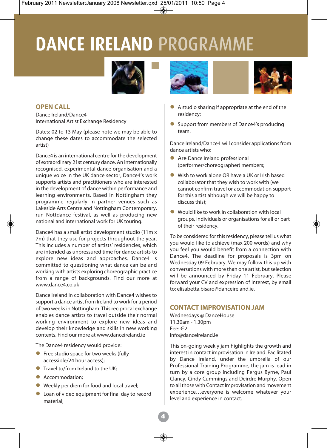# **DANCE IRELAND** PROGRAMME





Dance Ireland/Dance4 International Artist Exchange Residency

Dates: 02 to 13 May (please note we may be able to change these dates to accommodate the selected artist)

Dance4 is an international centre for the development of extraordinary 21st century dance. An internationally recognised, experimental dance organisation and a unique voice in the UK dance sector, Dance4's work supports artists and practitioners who are interested in the development of dance within performance and learning environments. Based in Nottingham they programme regularly in partner venues such as Lakeside Arts Centre and Nottingham Contemporary, run Nottdance festival, as well as producing new national and international work for UK touring.

Dance4 has a small artist development studio (11m x 7m) that they use for projects throughout the year. This includes a number of artists' residencies, which are intended as unpressured time for dance artists to explore new ideas and approaches. Dance4 is committed to questioning what dance can be and working with artists exploring choreographic practice from a range of backgrounds. Find our more at www.dance4.co.uk

Dance Ireland in collaboration with Dance4 wishes to support a dance artist from Ireland to work for a period of two weeks in Nottingham. This reciprocal exchange enables dance artists to travel outside their normal working environment to explore new ideas and develop their knowledge and skills in new working contexts. Find our more at www.danceireland.ie

The Dance4 residency would provide:

- $\bullet$  Free studio space for two weeks (fully accessible/24 hour access);
- $\bullet$  Travel to/from Ireland to the UK:
- **Accommodation:**
- Weekly per diem for food and local travel:
- $\bullet$  Loan of video equipment for final day to record material;





- A studio sharing if appropriate at the end of the residency;
- Support from members of Dance4's producing team.

Dance Ireland/Dance4 will consider applications from dance artists who:

- Are Dance Ireland professional (performer/choreographer) members;
- l Wish to work alone OR have a UK or Irish based collaborator that they wish to work with (we cannot confirm travel or accommodation support for this artist although we will be happy to discuss this);
- $\bullet$  Would like to work in collaboration with local groups, individuals or organisations for all or part of their residency.

To be considered for this residency, please tell us what you would like to achieve (max 200 words) and why you feel you would benefit from a connection with Dance4. The deadline for proposals is 3pm on Wednesday 09 February. We may follow this up with conversations with more than one artist, but selection will be announced by Friday 11 February. Please forward your CV and expression of interest, by email to: elisabetta.bisaro@danceireland.ie.

#### **CONTACT IMPROVISATION JAM**

Wednesdays @ DanceHouse 11.30am - 1.30pm Fee: €2 info@danceireland.ie

This on-going weekly jam highlights the growth and interest in contact improvisation in Ireland. Facilitated by Dance Ireland, under the umbrella of our Professional Training Programme, the jam is lead in turn by a core group including Fergus Byrne, Paul Clancy, Cindy Cummings and Deirdre Murphy. Open to all those with Contact Improvisation and movement experience…everyone is welcome whatever your level and experience in contact.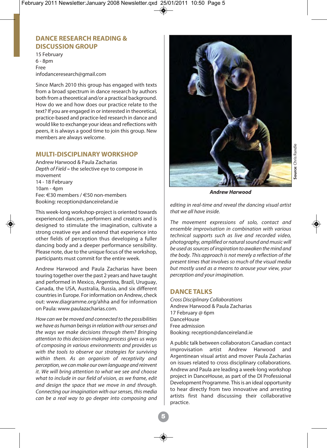#### **DANCE RESEARCH READING & DISCUSSION GROUP**

15 February 6 - 8pm Free infodanceresearch@gmail.com

Since March 2010 this group has engaged with texts from a broad spectrum in dance research by authors both from a theoretical and/or a practical background. How do we and how does our practice relate to the text? If you are engaged in or interested in theoretical, practice-based and practice-led research in dance and would like to exchange your ideas and reflections with peers, it is always a good time to join this group. New members are always welcome.

#### **MULTI-DISCIPLINARY WORKSHOP**

Andrew Harwood & Paula Zacharias *Depth of Field* **–** the selective eye to compose in movement 14 - 18 February 10am - 4pm Fee: €30 members / €50 non-members Booking: reception@danceireland.ie

This week-long workshop-project is oriented towards experienced dancers, performers and creators and is designed to stimulate the imagination, cultivate a strong creative eye and extend that experience into other fields of perception thus developing a fuller dancing body and a deeper performance sensibility. Please note, due to the unique focus of the workshop, participants must commit for the entire week.

Andrew Harwood and Paula Zacharias have been touring together over the past 2 years and have taught and performed in Mexico, Argentina, Brazil, Uruguay, Canada, the USA, Australia, Russia, and six different countries in Europe. For information on Andrew, check out: www.diagramme.org/ahha and for information on Paula: www.paulazacharias.com.

*How can we be moved and connected to the possibilities we have as human beings in relation with our senses and the ways we make decisions through them? Bringing attention to this decision-making process gives us ways of composing in various environments and provides us with the tools to observe our strategies for surviving within them. As an organism of receptivity and perception, we can make our own language and reinvent it. We will bring attention to what we see and choose what to include in our field of vision, as we frame, edit and design the space that we move in and through. Connecting our imagination with our senses, this media can be a real way to go deeper into composing and*



*Andrew Harwood*

*editing in real-time and reveal the dancing visual artist that we all have inside.* 

*The movement expressions of solo, contact and ensemble improvisation in combination with various technical supports such as live and recorded video, photography, amplified or natural sound and music will be used as sources of inspiration to awaken the mind and the body. This approach is not merely a reflection of the present times that involves so much of the visual media but mostly used as a means to arouse your view, your perception and your imagination.*

#### **DANCE TALKS**

*Cross Disciplinary Collaborations* Andrew Harwood & Paula Zacharias 17 February @ 6pm DanceHouse Free admission Booking: reception@danceireland.ie

A public talk between collaborators Canadian contact improvisation artist Andrew Harwood and Argentinean visual artist and mover Paula Zacharias on issues related to cross disciplinary collaborations. Andrew and Paula are leading a week-long workshop project in DanceHouse, as part of the DI Professional Development Programme. This is an ideal opportunity to hear directly from two innovative and arresting artists first hand discussing their collaborative practice.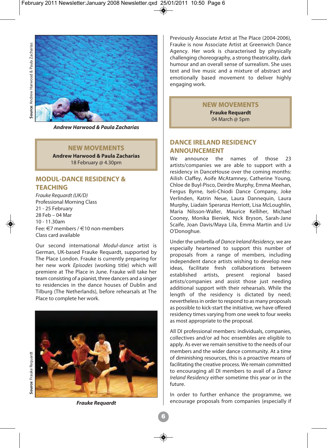

*Andrew Harwood & Paula Zacharias*

#### **NEW MOVEMENTS**

**Andrew Harwood & Paula Zacharias** 18 February @ 4.30pm

#### **MODUL-DANCE RESIDENCY & TEACHING**

*Frauke Requardt (UK/D)* Professional Morning Class 21 - 25 February 28 Feb – 04 Mar 10 - 11.30am Fee: €7 members / €10 non-members Class card available

Our second international *Modul-dance* artist is German, UK-based Frauke Requardt, supported by The Place London. Frauke is currently preparing for her new work *Episodes* (working title) which will premiere at The Place in June. Frauke will take her team consisting of a pianist, three dancers and a singer to residencies in the dance houses of Dublin and Tilburg (The Netherlands), before rehearsals at The Place to complete her work.



Previously Associate Artist at The Place (2004-2006), Frauke is now Associate Artist at Greenwich Dance Agency. Her work is characterised by physically challenging choreography, a strong theatricality, dark humour and an overall sense of surrealism. She uses text and live music and a mixture of abstract and emotionally based movement to deliver highly engaging work.

#### **NEW MOVEMENTS**

**Frauke Requardt** 04 March @ 5pm

#### **DANCE IRELAND RESIDENCY ANNOUNCEMENT**

We announce the names of those 23 artists/companies we are able to support with a residency in DanceHouse over the coming months: Ailish Claffey, Aoife McAtamney, Catherine Young, Chloe de Buyl-Pisco, Deirdre Murphy, Emma Meehan, Fergus Byrne, Iseli-Chiodi Dance Company, Joke Verlinden, Katrin Neue, Laura Dannequin, Laura Murphy, Liadain Speranza Herriott, Lisa McLoughlin, Maria Nilsson-Waller, Maurice Kelliher, Michael Cooney, Monika Bieniek, Nick Bryson, Sarah-Jane Scaife, Joan Davis/Maya Lila, Emma Martin and Liv O'Donoghue.

Under the umbrella of *Dance Ireland Residency*, we are especially heartened to support this number of proposals from a range of members, including independent dance artists wishing to develop new ideas, facilitate fresh collaborations between<br>established artists, present regional based artists, present regional based artists/companies and assist those just needing additional support with their rehearsals. While the length of the residency is dictated by need; nevertheless in order to respond to as many proposals as possible to kick-start the initiative, we have offered residency times varying from one week to four weeks as most appropriate to the proposal.

All DI professional members: individuals, companies, collectives and/or ad hoc ensembles are eligible to apply. As ever we remain sensitive to the needs of our members and the wider dance community. At a time of diminishing resources, this is a proactive means of facilitating the creative process. We remain committed to encouraging all DI members to avail of a *Dance Ireland Residency* either sometime this year or in the future.

In order to further enhance the programme, we encourage proposals from companies (especially if

*Frauke Requardt*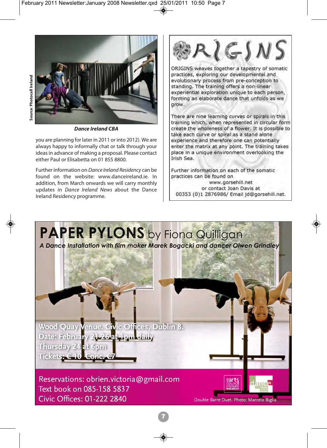

*Dance Ireland CBA*

you are planning for later in 2011 or into 2012). We are always happy to informally chat or talk through your ideas in advance of making a proposal. Please contact either Paul or Elisabetta on 01 855 8800.

Further information on *Dance Ireland Residency* can be found on the website: www.danceireland.ie. In addition, from March onwards we will carry monthly updates in *Dance Ireland News* about the Dance Ireland Residency programme.



ORIGINS weaves together a tapestry of somatic practices, exploring our developmental and evolutionary process from pre-conception to standing. The training offers a non-linear experiential exploration unique to each person, forming an elaborate dance that unfolds as we grow.

There are nine learning curves or spirals in this training which, when represented in circular form create the wholeness of a flower. It is possible to take each curve or spiral as a stand alone experience and therefore one can potentially enter the matrix at any point. The training takes place in a unique environment overlooking the Irish Sea.

Further information on each of the somatic practices can be found on www.gorsehill.net

or contact Joan Davis at 00353 (0)1 2876986/ Email id@gorsehill.net.

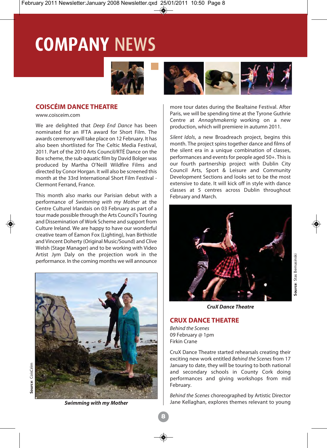# **COMPANY** NEWS



#### **COISCÉIM DANCE THEATRE**

www.coisceim.com

We are delighted that *Deep End Dance* has been nominated for an IFTA award for Short Film. The awards ceremony will take place on 12 February. It has also been shortlisted for The Celtic Media Festival, 2011. Part of the 2010 Arts Council/RTÉ Dance on the Box scheme, the sub-aquatic film by David Bolger was produced by Martha O'Neill Wildfire Films and directed by Conor Horgan. It will also be screened this month at the 33rd International Short Film Festival - Clermont Ferrand, France.

This month also marks our Parisian debut with a performance of *Swimming with my Mother* at the Centre Culturel Irlandais on 03 February as part of a tour made possible through the Arts Council's Touring and Dissemination of Work Scheme and support from Culture Ireland. We are happy to have our wonderful creative team of Eamon Fox (Lighting), Ivan Birthistle and Vincent Doherty (Original Music/Sound) and Clive Welsh (Stage Manager) and to be working with Video Artist Jym Daly on the projection work in the performance. In the coming months we will announce



*Swimming with my Mother*



more tour dates during the Bealtaine Festival. After Paris, we will be spending time at the Tyrone Guthrie Centre at *Annaghmakerrig* working on a new production, which will premiere in autumn 2011.

*Silent Idols*, a new Broadreach project, begins this month. The project spins together dance and films of the silent era in a unique combination of classes, performances and events for people aged 50+. This is our fourth partnership project with Dublin City Council Arts, Sport & Leisure and Community Development Sections and looks set to be the most extensive to date. It will kick off in style with dance classes at 5 centres across Dublin throughout February and March.



*CruX Dance Theatre*

#### **CRUX DANCE THEATRE**

*Behind the Scenes* 09 February @ 1pm Firkin Crane

CruX Dance Theatre started rehearsals creating their exciting new work entitled *Behind the Scenes* from 17 January to date, they will be touring to both national and secondary schools in County Cork doing performances and giving workshops from mid February.

*Behind the Scenes* choreographed by Artistic Director Jane Kellaghan, explores themes relevant to young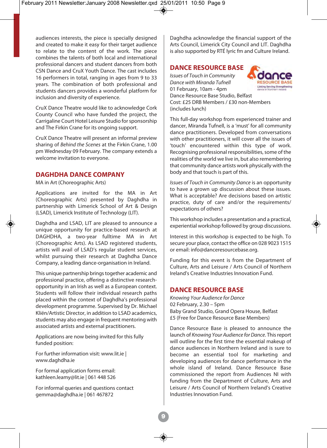audiences interests, the piece is specially designed and created to make it easy for their target audience to relate to the content of the work. The piece combines the talents of both local and international professional dancers and student dancers from both CSN Dance and CruX Youth Dance. The cast includes 16 performers in total, ranging in ages from 9 to 33 years. The combination of both professional and students dancers provides a wonderful platform for inclusion and diversity of experience.

CruX Dance Theatre would like to acknowledge Cork County Council who have funded the project, the Carrigaline Court Hotel Leisure Studio for sponsorship and The Firkin Crane for its ongoing support.

CruX Dance Theatre will present an informal preview sharing of *Behind the Scenes* at the Firkin Crane, 1.00 pm Wednesday 09 February. The company extends a welcome invitation to everyone.

#### **DAGHDHA DANCE COMPANY**

MA in Art (Choreographic Arts)

Applications are invited for the MA in Art (Choreographic Arts) presented by Daghdha in partnership with Limerick School of Art & Design (LSAD), Limerick Institute of Technology (LIT).

Daghdha and LSAD, LIT are pleased to announce a unique opportunity for practice-based research at DAGHDHA, a two-year fulltime MA in Art (Choreographic Arts). As LSAD registered students, artists will avail of LSAD's regular student services, whilst pursuing their research at Daghdha Dance Company, a leading dance-organisation in Ireland.

This unique partnership brings together academic and professional practice, offering a distinctive researchopportunity in an Irish as well as a European context. Students will follow their individual research paths placed within the context of Daghdha's professional development programme. Supervised by Dr. Michael Kliën/Artistic Director, in addition to LSAD academics, students may also engage in frequent mentoring with associated artists and external practitioners.

Applications are now being invited for this fully funded position:

For further information visit: www.lit.ie | www.daghdha.ie

For formal application forms email: kathleen.leamy@lit.ie | 061 448 526

For informal queries and questions contact gemma@daghdha.ie | 061 467872

Daghdha acknowledge the financial support of the Arts Council, Limerick City Council and LIT. Daghdha is also supported by RTÉ lyric fm and Culture Ireland.

#### **DANCE RESOURCE BASE**

*Issues of Touch in Community Dance with Miranda Tufnell*  01 February, 10am - 4pm Dance Resource Base Studio, Belfast Cost: £25 DRB Members / £30 non-Members (includes lunch)



This full-day workshop from experienced trainer and dancer, Miranda Tufnell, is a 'must' for all community dance practitioners. Developed from conversations with other practitioners, it will cover all the issues of 'touch' encountered within this type of work. Recognising professional responsibilities, some of the realities of the world we live in, but also remembering that community dance artists work physically with the body and that touch is part of this.

*Issues of Touch in Community Dance* is an opportunity to have a grown up discussion about these issues. What is acceptable? Are decisions based on artistic practice, duty of care and/or the requirements/ expectations of others?

This workshop includes a presentation and a practical, experiential workshop followed by group discussions.

Interest in this workshop is expected to be high. To secure your place, contact the office on 028 9023 1515 or email: info@danceresourcebase.org.

Funding for this event is from the Department of Culture, Arts and Leisure / Arts Council of Northern Ireland's Creative Industries Innovation Fund.

#### **DANCE RESOURCE BASE**

*Knowing Your Audience for Dance* 02 February, 2.30 – 5pm Baby Grand Studio, Grand Opera House, Belfast £5 (Free for Dance Resource Base Members)

Dance Resource Base is pleased to announce the launch of *Knowing Your Audience for Dance*. This report will outline for the first time the essential makeup of dance audiences in Northern Ireland and is sure to become an essential tool for marketing and developing audiences for dance performance in the whole island of Ireland. Dance Resource Base commissioned the report from Audiences NI with funding from the Department of Culture, Arts and Leisure / Arts Council of Northern Ireland's Creative Industries Innovation Fund.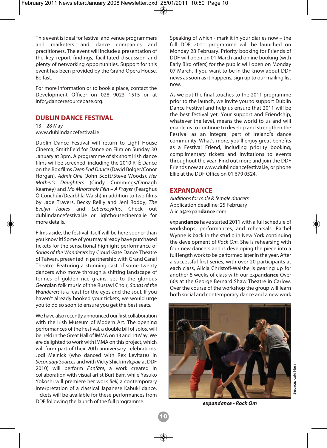This event is ideal for festival and venue programmers and marketers and dance companies and practitioners. The event will include a presentation of the key report findings, facilitated discussion and plenty of networking opportunities. Support for this event has been provided by the Grand Opera House, Belfast.

For more information or to book a place, contact the Development Officer on 028 9023 1515 or at info@danceresourcebase.org.

#### **DUBLIN DANCE FESTIVAL**

13 – 28 May www.dublindancefestival.ie

Dublin Dance Festival will return to Light House Cinema, Smithfield for Dance on Film on Sunday 30 January at 3pm. A programme of six short Irish dance films will be screened, including the 2010 RTÉ Dance on the Box films *Deep End Dance* (David Bolger/Conor Horgan), *Admit One* (John Scott/Steve Woods), *Her Mother's Daughters* (Cindy Cummings/Oonagh Kearney) and *Mo Mhórchoir Féin – A Prayer* (Fearghus Ó Conchúir/Dearbhla Walsh) in addition to two films by Jade Travers, Becky Reilly and Jeni Roddy, *The Evelyn Tables* and *Lebenszyklus*. Check out dublindancefestival.ie or lighthousecinema.ie for more details.

Films aside, the festival itself will be here sooner than you know it! Some of you may already have purchased tickets for the sensational highlight performance of *Songs of the Wanderers* by Cloud Gate Dance Theatre of Taiwan, presented in partnership with Grand Canal Theatre. Featuring a stunning cast of some twenty dancers who move through a shifting landscape of tonnes of golden rice grains, set to the glorious Georgian folk music of the Rustavi Choir, *Songs of the Wanderers* is a feast for the eyes and the soul. If you haven't already booked your tickets, we would urge you to do so soon to ensure you get the best seats.

We have also recently announced our first collaboration with the Irish Museum of Modern Art. The opening performances of the Festival, a double bill of solos, will be held in the Great Hall of IMMA on 13 and 14 May. We are delighted to work with IMMA on this project, which will form part of their 20th anniversary celebrations. Jodi Melnick (who danced with Rex Levitates in *Secondary Sources* and with Vicky Shick in *Repair* at DDF 2010) will perform *Fanfare*, a work created in collaboration with visual artist Burt Barr, while Yasuko Yokoshi will premiere her work *Bell*, a contemporary interpretation of a classical Japanese Kabuki dance. Tickets will be available for these performances from DDF following the launch of the full programme.

Speaking of which - mark it in your diaries now – the full DDF 2011 programme will be launched on Monday 28 February. Priority booking for Friends of DDF will open on 01 March and online booking (with Early Bird offers) for the public will open on Monday 07 March. If you want to be in the know about DDF news as soon as it happens, sign up to our mailing list now.

As we put the final touches to the 2011 programme prior to the launch, we invite you to support Dublin Dance Festival and help us ensure that 2011 will be the best festival yet. Your support and Friendship, whatever the level, means the world to us and will enable us to continue to develop and strengthen the Festival as an integral part of Ireland's dance community. What's more, you'll enjoy great benefits as a Festival Friend, including priority booking, complimentary tickets and invitations to events throughout the year. Find out more and join the DDF Friends now at www.dublindancefestival.ie, or phone Ellie at the DDF Office on 01 679 0524.

#### **EXPANDANCE**

*Auditions for male & female dancers* Application deadline: 25 February Alicia@expan**dance**.com

expan**dance** have started 2011 with a full schedule of workshops, performances, and rehearsals. Rachel Wynne is back in the studio in New York continuing the development of *Rock Om.* She is rehearsing with four new dancers and is developing the piece into a full length work to be performed later in the year. After a successful first series, with over 20 participants at each class, Alicia Christofi-Walshe is gearing up for another 8 weeks of class with our expan**dance** Over 60s at the George Bernard Shaw Theatre in Carlow. Over the course of the workshop the group will learn both social and contemporary dance and a new work



*expandance - Rock Om*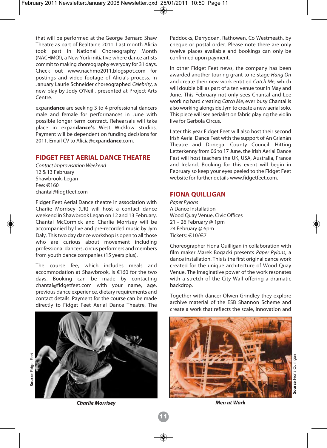that will be performed at the George Bernard Shaw Theatre as part of Bealtaine 2011. Last month Alicia took part in National Choreography Month (NACHMO!), a New York initiative where dance artists commit to making choreography everyday for 31 days. Check out www.nachmo2011.blogspot.com for postings and video footage of Alicia's process. In January Laurie Schneider choreographed *Celebrity*, a new play by Jody O'Neill, presented at Project Arts Centre.

expan**dance** are seeking 3 to 4 professional dancers male and female for performances in June with possible longer term contract. Rehearsals will take place in expan**dance's** West Wicklow studios. Payment will be dependent on funding decisions for 2011. Email CV to Alicia@expan**dance**.com.

#### **FIDGET FEET AERIAL DANCE THEATRE**

*Contact Improvisation Weekend* 12 & 13 February Shawbrook, Legan Fee: €160 chantal@fidgtfeet.com

Fidget Feet Aerial Dance theatre in association with Charlie Morrisey (UK) will host a contact dance weekend in Shawbrook Legan on 12 and 13 February. Chantal McCormick and Charlie Morrisey will be accompanied by live and pre-recorded music by Jym Daly. This two day dance workshop is open to all those who are curious about movement including professional dancers, circus performers and members from youth dance companies (15 years plus).

The course fee, which includes meals and accommodation at Shawbrook, is €160 for the two days. Booking can be made by contacting chantal@fidgetfeet.com with your name, age, previous dance experience, dietary requirements and contact details. Payment for the course can be made directly to Fidget Feet Aerial Dance Theatre, The



Paddocks, Derrydoan, Rathowen, Co Westmeath, by cheque or postal order. Please note there are only twelve places available and bookings can only be confirmed upon payment.

In other Fidget Feet news, the company has been awarded another touring grant to re-stage *Hang On* and create their new work entitled *Catch Me*, which will double bill as part of a ten venue tour in May and June. This February not only sees Chantal and Lee working hard creating *Catch Me*, ever busy Chantal is also working alongside Jym to create a new aerial solo. This piece will see aerialist on fabric playing the violin live for Gerbola Circus.

Later this year Fidget Feet will also host their second Irish Aerial Dance Fest with the support of An Grianán Theatre and Donegal County Council. Hitting Letterkenny from 06 to 17 June, the Irish Aerial Dance Fest will host teachers the UK, USA, Australia, France and Ireland. Booking for this event will begin in February so keep your eyes peeled to the Fidget Feet website for further details www.fidgetfeet.com.

#### **FIONA QUILLIGAN**

*Paper Pylons*  A Dance Installation Wood Quay Venue, Civic Offices 21 – 26 February @ 1pm 24 February @ 6pm Tickets: €10/€7

Choreographer Fiona Quilligan in collaboration with film maker Marek Bogacki presents *Paper Pylons,* a dance installation. This is the first original dance work created for the unique architecture of Wood Quay Venue. The imaginative power of the work resonates with a stretch of the City Wall offering a dramatic backdrop.

Together with dancer Olwen Grindley they explore archive material of the ESB Shannon Scheme and create a work that reflects the scale, innovation and



*Charlie Morrisey Men at Work*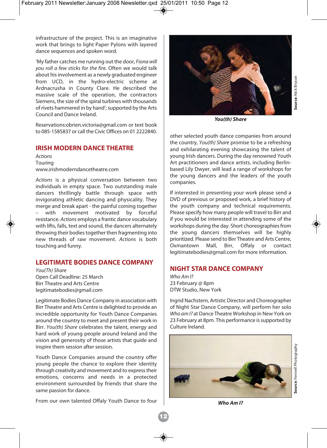infrastructure of the project. This is an imaginative work that brings to light Paper Pylons with layered dance sequences and spoken word.

'My father catches me running out the door, *Fiona will you roll a few sticks for the fire.* Often we would talk about his involvement as a newly graduated engineer from UCD, in the hydro-electric scheme at Ardnacrusha in County Clare. He described the massive scale of the operation, the contractors Siemens, the size of the spiral turbines with thousands of rivets hammered in by hand'; supported by the Arts Council and Dance Ireland.

Reservations:obrien.victoria@gmail.com or text book to 085-1585837 or call the Civic Offices on 01 2222840.

#### **IRISH MODERN DANCE THEATRE**

*Actions*  Touring www.irishmoderndancetheatre.com

*Actions* is a physical conversation between two individuals in empty space. Two outstanding male dancers thrillingly battle through space with invigorating athletic dancing and physicality. They merge and break apart - the painful coming together with movement motivated by forceful resistance. *Actions* employs a frantic dance vocabulary with lifts, falls, text and sound, the dancers alternately throwing their bodies together then fragmenting into new threads of raw movement. *Actions* is both touching and funny.

#### **LEGITIMATE BODIES DANCE COMPANY**

*You(Th) Share* Open Call Deadline: 25 March Birr Theatre and Arts Centre legitimatebodies@gmail.com

Legitimate Bodies Dance Company in association with Birr Theatre and Arts Centre is delighted to provide an incredible opportunity for Youth Dance Companies around the country to meet and present their work in Birr. *You(th) Share* celebrates the talent, energy and hard work of young people around Ireland and the vision and generosity of those artists that guide and inspire them session after session.

Youth Dance Companies around the country offer young people the chance to explore their identity through creativity and movement and to express their emotions, concerns and needs in a protected environment surrounded by friends that share the same passion for dance.

From our own talented Offaly Youth Dance to four



*You(th) Share*

other selected youth dance companies from around the country, *You(th) Share* promise to be a refreshing and exhilarating evening showcasing the talent of young Irish dancers. During the day renowned Youth Art practitioners and dance artists, including Berlinbased Lily Dwyer, will lead a range of workshops for the young dancers and the leaders of the youth companies.

If interested in presenting your work please send a DVD of previous or proposed work, a brief history of the youth company and technical requirements. Please specify how many people will travel to Birr and if you would be interested in attending some of the workshops during the day. Short choreographies from the young dancers themselves will be highly prioritized. Please send to Birr Theatre and Arts Centre, Oxmantown Mall, Birr, Offaly or contact legitimatebodies@gmail.com for more information.

#### **NIGHT STAR DANCE COMPANY**

*Who Am I?* 23 February @ 8pm DTW Studio, New York

Ingrid Nachstern, Artistic Director and Choreographer of Night Star Dance Company, will perform her solo *Who am I?* at Dance Theatre Workshop in New York on 23 February at 8pm. This performance is supported by Culture Ireland.



**Source**: Nick Bryson

**Source:** Nick Bryson

*Who Am I?*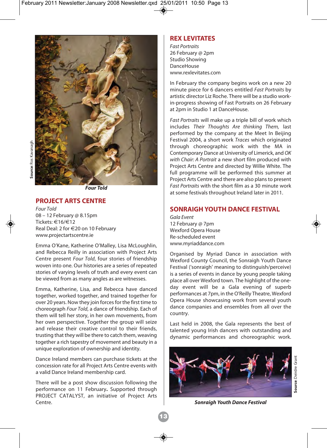

*Four Told*

#### **PROJECT ARTS CENTRE**

*Four Told* 08 – 12 February @ 8.15pm Tickets: €16/€12 Real Deal: 2 for €20 on 10 February www.projectartscentre.ie

Emma O'Kane, Katherine O'Malley, Lisa McLoughlin, and Rebecca Reilly in association with Project Arts Centre present *Four Told*, four stories of friendship woven into one. Our histories are a series of repeated stories of varying levels of truth and every event can be viewed from as many angles as are witnesses.

Emma, Katherine, Lisa, and Rebecca have danced together, worked together, and trained together for over 20 years. Now they join forces for the first time to choreograph *Four Told*, a dance of friendship. Each of them will tell her story, in her own movements, from her own perspective. Together the group will seize and release their creative control to their friends, trusting that they will be there to catch them, weaving together a rich tapestry of movement and beauty in a unique exploration of ownership and identity.

Dance Ireland members can purchase tickets at the concession rate for all Project Arts Centre events with a valid Dance Ireland membership card.

There will be a post show discussion following the performance on 11 February**.** Supported through PROJECT CATALYST, an initiative of Project Arts Centre.

#### **REX LEVITATES**

*Fast Portraits*  26 February @ 2pm Studio Showing **DanceHouse** www.rexlevitates.com

In February the company begins work on a new 20 minute piece for 6 dancers entitled *Fast Portraits* by artistic director Liz Roche. There will be a studio workin-progress showing of Fast Portraits on 26 February at 2pm in Studio 1 at DanceHouse.

*Fast Portraits* will make up a triple bill of work which includes *Their Thoughts Are thinking Them,* last performed by the company at the Meet In Beijing Festival 2004, a short work *Traces* which originated through choreographic work with the MA in Contemporary Dance at University of Limerick, and *OK with Chair: A Portrait* a new short film produced with Project Arts Centre and directed by Willie White. The full programme will be performed this summer at Project Arts Centre and there are also plans to present *Fast Portraits* with the short film as a 30 minute work at some festivals throughout Ireland later in 2011.

#### **SONRAIGH YOUTH DANCE FESTIVAL**

*Gala Event*  12 February @ 7pm Wexford Opera House Re-scheduled event www.myriaddance.com

Organised by Myriad Dance in association with Wexford County Council, the Sonraigh Youth Dance Festival ('sonraigh' meaning to distinguish/perceive) is a series of events in dance by young people taking place all over Wexford town. The highlight of the oneday event will be a Gala evening of superb performances at 7pm, in the O'Reilly Theatre, Wexford Opera House showcasing work from several youth dance companies and ensembles from all over the country.

Last held in 2008, the Gala represents the best of talented young Irish dancers with outstanding and dynamic performances and choreographic work.



*Sonraigh Youth Dance Festival*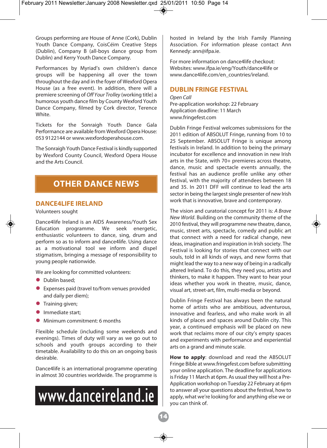Groups performing are House of Anne (Cork), Dublin Youth Dance Company, CoisCéim Creative Steps (Dublin), Company B (all-boys dance group from Dublin) and Kerry Youth Dance Company.

Performances by Myriad's own children's dance groups will be happening all over the town throughout the day and in the foyer of Wexford Opera House (as a free event). In addition, there will a premiere screening of *Off Your Trolley* (working title) a humorous youth dance film by County Wexford Youth Dance Company, filmed by Cork director, Terence White.

Tickets for the Sonraigh Youth Dance Gala Performance are available from Wexford Opera House: 053 9122144 or www.wexfordoperahouse.com.

The Sonraigh Youth Dance Festival is kindly supported by Wexford County Council, Wexford Opera House and the Arts Council.

#### **OTHER DANCE NEWS**

#### **DANCE4LIFE IRELAND**

Volunteers sought

Dance4life Ireland is an AIDS Awareness/Youth Sex Education programme. We seek energetic, enthusiastic volunteers to dance, sing, drum and perform so as to inform and dance4life. Using dance as a motivational tool we inform and dispel stigmatism, bringing a message of responsibility to young people nationwide.

We are looking for committed volunteers:

- Dublin based:
- $\bullet$  Expenses paid (travel to/from venues provided and daily per diem);
- **Training given;**
- Immediate start:
- l Minimum commitment: 6 months

Flexible schedule (including some weekends and evenings). Times of duty will vary as we go out to schools and youth groups according to their timetable. Availability to do this on an ongoing basis desirable.

Dance4life is an international programme operating in almost 30 countries worldwide. The programme is



hosted in Ireland by the Irish Family Planning Association. For information please contact Ann Kennedy: ann@ifpa.ie.

For more information on dance4life checkout: Websites: www.ifpa.ie/eng/Youth/dance4life or www.dance4life.com/en\_countries/ireland.

#### **DUBLIN FRINGE FESTIVAL**

*Open Call*  Pre-application workshop: 22 February Application deadline: 11 March www.fringefest.com

Dublin Fringe Festival welcomes submissions for the 2011 edition of ABSOLUT Fringe, running from 10 to 25 September. ABSOLUT Fringe is unique among festivals in Ireland. In addition to being the primary incubator for excellence and innovation in new Irish arts in the State, with 70+ premieres across theatre, dance, music and spectacle events annually, the festival has an audience profile unlike any other festival, with the majority of attendees between 18 and 35. In 2011 DFF will continue to lead the arts sector in being the largest single presenter of new Irish work that is innovative, brave and contemporary.

The vision and curatorial concept for 2011 is: *A Brave New World*. Building on the community theme of the 2010 festival, they will programme new theatre, dance, music, street arts, spectacle, comedy and public art that connect with a need for radical change, new ideas, imagination and inspiration in Irish society. The Festival is looking for stories that connect with our souls, told in all kinds of ways, and new forms that might lead the way to a new way of being in a radically altered Ireland. To do this, they need you, artists and thinkers, to make it happen. They want to hear your ideas whether you work in theatre, music, dance, visual art, street-art, film, multi-media or beyond.

Dublin Fringe Festival has always been the natural home of artists who are ambitious, adventurous, innovative and fearless, and who make work in all kinds of places and spaces around Dublin city. This year, a continued emphasis will be placed on new work that reclaims more of our city's empty spaces and experiments with performance and experiential arts on a grand and minute scale.

**How to apply**: download and read the ABSOLUT Fringe Bible at www.fringefest.com before submitting your online application. The deadline for applications is Friday 11 March at 6pm. As usual they will host a Pre-Application workshop on Tuesday 22 February at 6pm to answer all your questions about the festival, how to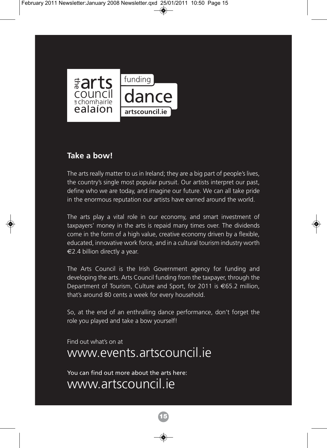

#### **Take a bow!**

The arts really matter to us in Ireland; they are a big part of people's lives, the country's single most popular pursuit. Our artists interpret our past, define who we are today, and imagine our future. We can all take pride in the enormous reputation our artists have earned around the world.

The arts play a vital role in our economy, and smart investment of taxpayers' money in the arts is repaid many times over. The dividends come in the form of a high value, creative economy driven by a flexible, educated, innovative work force, and in a cultural tourism industry worth  $\in$  2.4 billion directly a year.

The Arts Council is the Irish Government agency for funding and developing the arts. Arts Council funding from the taxpayer, through the Department of Tourism, Culture and Sport, for 2011 is  $\epsilon$ 65.2 million, that's around 80 cents a week for every household.

So, at the end of an enthralling dance performance, don't forget the role you played and take a bow yourself!

**15**

Find out what's on at

## www.events.artscouncil.ie

You can find out more about the arts here: www.artscouncil.ie